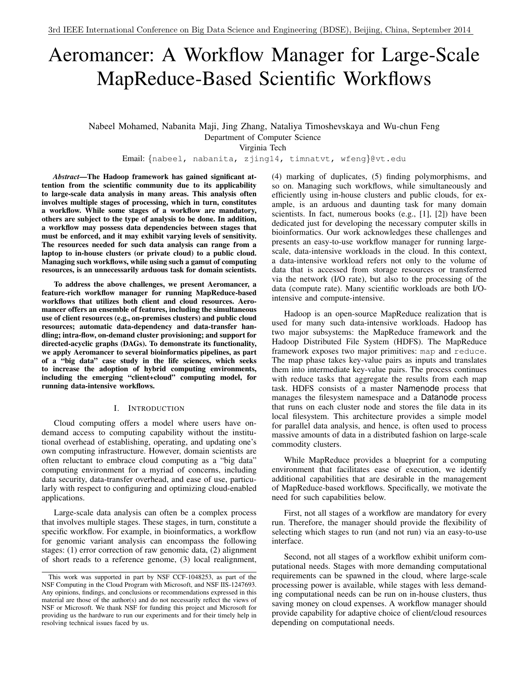# Aeromancer: A Workflow Manager for Large-Scale MapReduce-Based Scientific Workflows

Nabeel Mohamed, Nabanita Maji, Jing Zhang, Nataliya Timoshevskaya and Wu-chun Feng Department of Computer Science

Virginia Tech

Email: {nabeel, nabanita, zjing14, timnatvt, wfeng}@vt.edu

*Abstract*—The Hadoop framework has gained significant attention from the scientific community due to its applicability to large-scale data analysis in many areas. This analysis often involves multiple stages of processing, which in turn, constitutes a workflow. While some stages of a workflow are mandatory, others are subject to the type of analysis to be done. In addition, a workflow may possess data dependencies between stages that must be enforced, and it may exhibit varying levels of sensitivity. The resources needed for such data analysis can range from a laptop to in-house clusters (or private cloud) to a public cloud. Managing such workflows, while using such a gamut of computing resources, is an unnecessarily arduous task for domain scientists.

To address the above challenges, we present Aeromancer, a feature-rich workflow manager for running MapReduce-based workflows that utilizes both client and cloud resources. Aeromancer offers an ensemble of features, including the simultaneous use of client resources (e.g., on-premises clusters) and public cloud resources; automatic data-dependency and data-transfer handling; intra-flow, on-demand cluster provisioning; and support for directed-acyclic graphs (DAGs). To demonstrate its functionality, we apply Aeromancer to several bioinformatics pipelines, as part of a "big data" case study in the life sciences, which seeks to increase the adoption of hybrid computing environments, including the emerging "client+cloud" computing model, for running data-intensive workflows.

## I. INTRODUCTION

Cloud computing offers a model where users have ondemand access to computing capability without the institutional overhead of establishing, operating, and updating one's own computing infrastructure. However, domain scientists are often reluctant to embrace cloud computing as a "big data" computing environment for a myriad of concerns, including data security, data-transfer overhead, and ease of use, particularly with respect to configuring and optimizing cloud-enabled applications.

Large-scale data analysis can often be a complex process that involves multiple stages. These stages, in turn, constitute a specific workflow. For example, in bioinformatics, a workflow for genomic variant analysis can encompass the following stages: (1) error correction of raw genomic data, (2) alignment of short reads to a reference genome, (3) local realignment, (4) marking of duplicates, (5) finding polymorphisms, and so on. Managing such workflows, while simultaneously and efficiently using in-house clusters and public clouds, for example, is an arduous and daunting task for many domain scientists. In fact, numerous books (e.g., [1], [2]) have been dedicated just for developing the necessary computer skills in bioinformatics. Our work acknowledges these challenges and presents an easy-to-use workflow manager for running largescale, data-intensive workloads in the cloud. In this context, a data-intensive workload refers not only to the volume of data that is accessed from storage resources or transferred via the network (I/O rate), but also to the processing of the data (compute rate). Many scientific workloads are both I/Ointensive and compute-intensive.

Hadoop is an open-source MapReduce realization that is used for many such data-intensive workloads. Hadoop has two major subsystems: the MapReduce framework and the Hadoop Distributed File System (HDFS). The MapReduce framework exposes two major primitives: map and reduce. The map phase takes key-value pairs as inputs and translates them into intermediate key-value pairs. The process continues with reduce tasks that aggregate the results from each map task. HDFS consists of a master Namenode process that manages the filesystem namespace and a Datanode process that runs on each cluster node and stores the file data in its local filesystem. This architecture provides a simple model for parallel data analysis, and hence, is often used to process massive amounts of data in a distributed fashion on large-scale commodity clusters.

While MapReduce provides a blueprint for a computing environment that facilitates ease of execution, we identify additional capabilities that are desirable in the management of MapReduce-based workflows. Specifically, we motivate the need for such capabilities below.

First, not all stages of a workflow are mandatory for every run. Therefore, the manager should provide the flexibility of selecting which stages to run (and not run) via an easy-to-use interface.

Second, not all stages of a workflow exhibit uniform computational needs. Stages with more demanding computational requirements can be spawned in the cloud, where large-scale processing power is available, while stages with less demanding computational needs can be run on in-house clusters, thus saving money on cloud expenses. A workflow manager should provide capability for adaptive choice of client/cloud resources depending on computational needs.

This work was supported in part by NSF CCF-1048253, as part of the NSF Computing in the Cloud Program with Microsoft, and NSF IIS-1247693. Any opinions, findings, and conclusions or recommendations expressed in this material are those of the author(s) and do not necessarily reflect the views of NSF or Microsoft. We thank NSF for funding this project and Microsoft for providing us the hardware to run our experiments and for their timely help in resolving technical issues faced by us.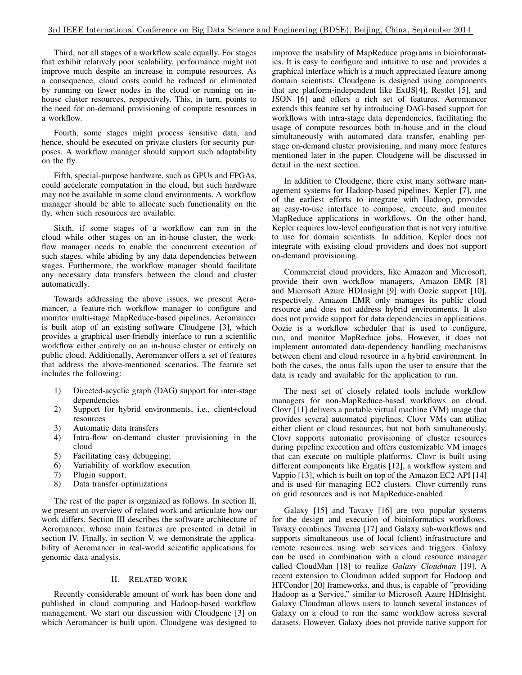Third, not all stages of a workflow scale equally. For stages that exhibit relatively poor scalability, performance might not improve much despite an increase in compute resources. As a consequence, cloud costs could be reduced or eliminated by running on fewer nodes in the cloud or running on inhouse cluster resources, respectively. This, in turn, points to the need for on-demand provisioning of compute resources in a workflow.

Fourth, some stages might process sensitive data, and hence, should be executed on private clusters for security purposes. A workflow manager should support such adaptability on the fly.

Fifth, special-purpose hardware, such as GPUs and FPGAs, could accelerate computation in the cloud, but such hardware may not be available in some cloud environments. A workflow manager should be able to allocate such functionality on the fly, when such resources are available.

Sixth, if some stages of a workflow can run in the cloud while other stages on an in-house cluster, the workflow manager needs to enable the concurrent execution of such stages, while abiding by any data dependencies between stages. Furthermore, the workflow manager should facilitate any necessary data transfers between the cloud and cluster automatically.

Towards addressing the above issues, we present Aeromancer, a feature-rich workflow manager to configure and monitor multi-stage MapReduce-based pipelines. Aeromancer is built atop of an existing software Cloudgene [3], which provides a graphical user-friendly interface to run a scientific workflow either entirely on an in-house cluster or entirely on public cloud. Additionally, Aeromancer offers a set of features that address the above-mentioned scenarios. The feature set includes the following:

- 1) Directed-acyclic graph (DAG) support for inter-stage dependencies
- 2) Support for hybrid environments, i.e., client+cloud resources
- 3) Automatic data transfers
- 4) Intra-flow on-demand cluster provisioning in the cloud
- 5) Facilitating easy debugging;
- 6) Variability of workflow execution
- 7) Plugin support;
- 8) Data transfer optimizations

The rest of the paper is organized as follows. In section II, we present an overview of related work and articulate how our work differs. Section III describes the software architecture of Aeromancer, whose main features are presented in detail in section IV. Finally, in section V, we demonstrate the applicability of Aeromancer in real-world scientific applications for genomic data analysis.

## II. RELATED WORK

Recently considerable amount of work has been done and published in cloud computing and Hadoop-based workflow management. We start our discussion with Cloudgene [3] on which Aeromancer is built upon. Cloudgene was designed to improve the usability of MapReduce programs in bioinformatics. It is easy to configure and intuitive to use and provides a graphical interface which is a much appreciated feature among domain scientists. Cloudgene is designed using components that are platform-independent like ExtJS[4], Restlet [5], and JSON [6] and offers a rich set of features. Aeromancer extends this feature set by introducing DAG-based support for workflows with intra-stage data dependencies, facilitating the usage of compute resources both in-house and in the cloud simultaneously with automated data transfer, enabling perstage on-demand cluster provisioning, and many more features mentioned later in the paper. Cloudgene will be discussed in detail in the next section.

In addition to Cloudgene, there exist many software management systems for Hadoop-based pipelines. Kepler [7], one of the earliest efforts to integrate with Hadoop, provides an easy-to-use interface to compose, execute, and monitor MapReduce applications in workflows. On the other hand, Kepler requires low-level configuration that is not very intuitive to use for domain scientists. In addition, Kepler does not integrate with existing cloud providers and does not support on-demand provisioning.

Commercial cloud providers, like Amazon and Microsoft, provide their own workflow managers, Amazon EMR [8] and Microsoft Azure HDInsight [9] with Oozie support [10], respectively. Amazon EMR only manages its public cloud resource and does not address hybrid environments. It also does not provide support for data dependencies in applications. Oozie is a workflow scheduler that is used to configure, run, and monitor MapReduce jobs. However, it does not implement automated data-dependency handling mechanisms between client and cloud resource in a hybrid environment. In both the cases, the onus falls upon the user to ensure that the data is ready and available for the application to run.

The next set of closely related tools include workflow managers for non-MapReduce-based workflows on cloud. Clovr [11] delivers a portable virtual machine (VM) image that provides several automated pipelines. Clovr VMs can utilize either client or cloud resources, but not both simultaneously. Clovr supports automatic provisioning of cluster resources during pipeline execution and offers customizable VM images that can execute on multiple platforms. Clovr is built using different components like Ergatis [12], a workflow system and Vappio [13], which is built on top of the Amazon EC2 API [14] and is used for managing EC2 clusters. Clovr currently runs on grid resources and is not MapReduce-enabled.

Galaxy [15] and Tavaxy [16] are two popular systems for the design and execution of bioinformatics workflows. Tavaxy combines Taverna [17] and Galaxy sub-workflows and supports simultaneous use of local (client) infrastructure and remote resources using web services and triggers. Galaxy can be used in combination with a cloud resource manager called CloudMan [18] to realize *Galaxy Cloudman* [19]. A recent extension to Cloudman added support for Hadoop and HTCondor [20] frameworks, and thus, is capable of "providing Hadoop as a Service," similar to Microsoft Azure HDInsight. Galaxy Cloudman allows users to launch several instances of Galaxy on a cloud to run the same workflow across several datasets. However, Galaxy does not provide native support for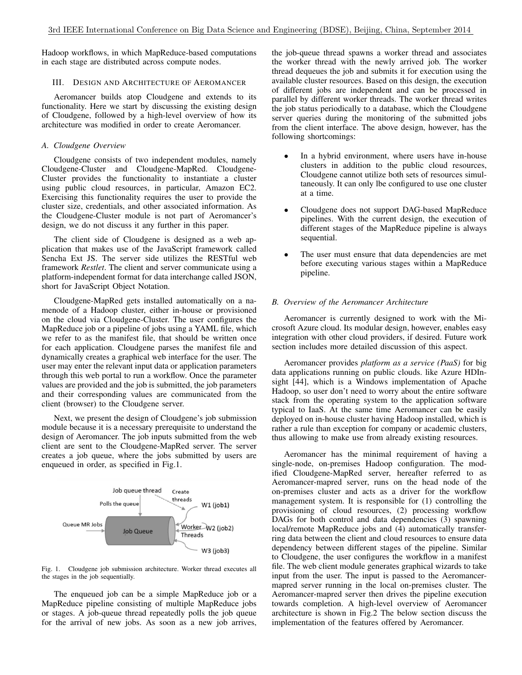Hadoop workflows, in which MapReduce-based computations in each stage are distributed across compute nodes.

#### III. DESIGN AND ARCHITECTURE OF AEROMANCER

Aeromancer builds atop Cloudgene and extends to its functionality. Here we start by discussing the existing design of Cloudgene, followed by a high-level overview of how its architecture was modified in order to create Aeromancer.

### *A. Cloudgene Overview*

Cloudgene consists of two independent modules, namely Cloudgene-Cluster and Cloudgene-MapRed. Cloudgene-Cluster provides the functionality to instantiate a cluster using public cloud resources, in particular, Amazon EC2. Exercising this functionality requires the user to provide the cluster size, credentials, and other associated information. As the Cloudgene-Cluster module is not part of Aeromancer's design, we do not discuss it any further in this paper.

The client side of Cloudgene is designed as a web application that makes use of the JavaScript framework called Sencha Ext JS. The server side utilizes the RESTful web framework *Restlet*. The client and server communicate using a platform-independent format for data interchange called JSON, short for JavaScript Object Notation.

Cloudgene-MapRed gets installed automatically on a namenode of a Hadoop cluster, either in-house or provisioned on the cloud via Cloudgene-Cluster. The user configures the MapReduce job or a pipeline of jobs using a YAML file, which we refer to as the manifest file, that should be written once for each application. Cloudgene parses the manifest file and dynamically creates a graphical web interface for the user. The user may enter the relevant input data or application parameters through this web portal to run a workflow. Once the parameter values are provided and the job is submitted, the job parameters and their corresponding values are communicated from the client (browser) to the Cloudgene server.

Next, we present the design of Cloudgene's job submission module because it is a necessary prerequisite to understand the design of Aeromancer. The job inputs submitted from the web client are sent to the Cloudgene-MapRed server. The server creates a job queue, where the jobs submitted by users are enqueued in order, as specified in Fig.1.



Fig. 1. Cloudgene job submission architecture. Worker thread executes all the stages in the job sequentially.

The enqueued job can be a simple MapReduce job or a MapReduce pipeline consisting of multiple MapReduce jobs or stages. A job-queue thread repeatedly polls the job queue for the arrival of new jobs. As soon as a new job arrives, the job-queue thread spawns a worker thread and associates the worker thread with the newly arrived job. The worker thread dequeues the job and submits it for execution using the available cluster resources. Based on this design, the execution of different jobs are independent and can be processed in parallel by different worker threads. The worker thread writes the job status periodically to a database, which the Cloudgene server queries during the monitoring of the submitted jobs from the client interface. The above design, however, has the following shortcomings:

- In a hybrid environment, where users have in-house clusters in addition to the public cloud resources, Cloudgene cannot utilize both sets of resources simultaneously. It can only lbe configured to use one cluster at a time.
- Cloudgene does not support DAG-based MapReduce pipelines. With the current design, the execution of different stages of the MapReduce pipeline is always sequential.
- The user must ensure that data dependencies are met before executing various stages within a MapReduce pipeline.

### *B. Overview of the Aeromancer Architecture*

Aeromancer is currently designed to work with the Microsoft Azure cloud. Its modular design, however, enables easy integration with other cloud providers, if desired. Future work section includes more detailed discussion of this aspect.

Aeromancer provides *platform as a service (PaaS)* for big data applications running on public clouds. like Azure HDInsight [44], which is a Windows implementation of Apache Hadoop, so user don't need to worry about the entire software stack from the operating system to the application software typical to IaaS. At the same time Aeromancer can be easily deployed on in-house cluster having Hadoop installed, which is rather a rule than exception for company or academic clusters, thus allowing to make use from already existing resources.

Aeromancer has the minimal requirement of having a single-node, on-premises Hadoop configuration. The modified Cloudgene-MapRed server, hereafter referred to as Aeromancer-mapred server, runs on the head node of the on-premises cluster and acts as a driver for the workflow management system. It is responsible for (1) controlling the provisioning of cloud resources, (2) processing workflow DAGs for both control and data dependencies (3) spawning local/remote MapReduce jobs and (4) automatically transferring data between the client and cloud resources to ensure data dependency between different stages of the pipeline. Similar to Cloudgene, the user configures the workflow in a manifest file. The web client module generates graphical wizards to take input from the user. The input is passed to the Aeromancermapred server running in the local on-premises cluster. The Aeromancer-mapred server then drives the pipeline execution towards completion. A high-level overview of Aeromancer architecture is shown in Fig.2 The below section discuss the implementation of the features offered by Aeromancer.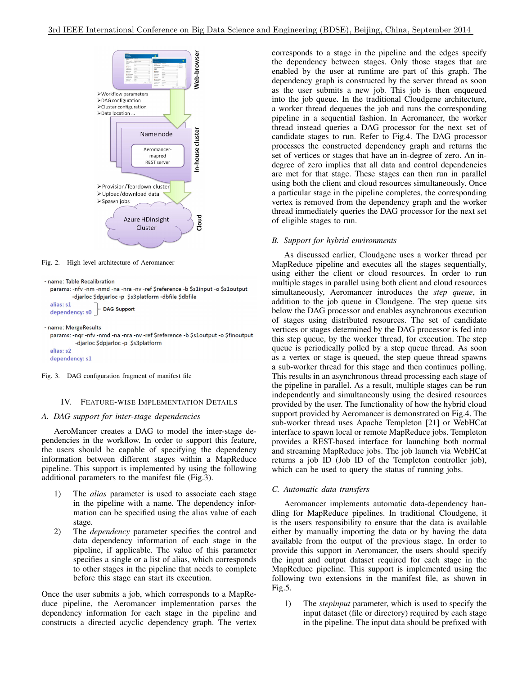

Fig. 2. High level architecture of Aeromancer

```
- name: Table Recalibration
```

```
params: -nfv -nm -nmd -na -nra -nv -ref $reference -b $s1input -o $s1output
         -djarloc $dpjarloc -p $s3platform -dbfile $dbfile
alias: s1
```

```
DAG Support
dependency: s0
```

```
- name: MergeResults
```

```
params: -nqr -nfv -nmd -na -nra -nv -ref $reference -b $s1output -o $finoutput
         -djarloc $dpjarloc -p $s3platform
```
alias: s2 dependency: s1

Fig. 3. DAG configuration fragment of manifest file

# IV. FEATURE-WISE IMPLEMENTATION DETAILS

## *A. DAG support for inter-stage dependencies*

AeroMancer creates a DAG to model the inter-stage dependencies in the workflow. In order to support this feature, the users should be capable of specifying the dependency information between different stages within a MapReduce pipeline. This support is implemented by using the following additional parameters to the manifest file (Fig.3).

- 1) The *alias* parameter is used to associate each stage in the pipeline with a name. The dependency information can be specified using the alias value of each stage.
- 2) The *dependency* parameter specifies the control and data dependency information of each stage in the pipeline, if applicable. The value of this parameter specifies a single or a list of alias, which corresponds to other stages in the pipeline that needs to complete before this stage can start its execution.

Once the user submits a job, which corresponds to a MapReduce pipeline, the Aeromancer implementation parses the dependency information for each stage in the pipeline and constructs a directed acyclic dependency graph. The vertex corresponds to a stage in the pipeline and the edges specify the dependency between stages. Only those stages that are enabled by the user at runtime are part of this graph. The dependency graph is constructed by the server thread as soon as the user submits a new job. This job is then enqueued into the job queue. In the traditional Cloudgene architecture, a worker thread dequeues the job and runs the corresponding pipeline in a sequential fashion. In Aeromancer, the worker thread instead queries a DAG processor for the next set of candidate stages to run. Refer to Fig.4. The DAG processor processes the constructed dependency graph and returns the set of vertices or stages that have an in-degree of zero. An indegree of zero implies that all data and control dependencies are met for that stage. These stages can then run in parallel using both the client and cloud resources simultaneously. Once a particular stage in the pipeline completes, the corresponding vertex is removed from the dependency graph and the worker thread immediately queries the DAG processor for the next set of eligible stages to run.

# *B. Support for hybrid environments*

As discussed earlier, Cloudgene uses a worker thread per MapReduce pipeline and executes all the stages sequentially, using either the client or cloud resources. In order to run multiple stages in parallel using both client and cloud resources simultaneously, Aeromancer introduces the *step queue*, in addition to the job queue in Cloudgene. The step queue sits below the DAG processor and enables asynchronous execution of stages using distributed resources. The set of candidate vertices or stages determined by the DAG processor is fed into this step queue, by the worker thread, for execution. The step queue is periodically polled by a step queue thread. As soon as a vertex or stage is queued, the step queue thread spawns a sub-worker thread for this stage and then continues polling. This results in an asynchronous thread processing each stage of the pipeline in parallel. As a result, multiple stages can be run independently and simultaneously using the desired resources provided by the user. The functionality of how the hybrid cloud support provided by Aeromancer is demonstrated on Fig.4. The sub-worker thread uses Apache Templeton [21] or WebHCat interface to spawn local or remote MapReduce jobs. Templeton provides a REST-based interface for launching both normal and streaming MapReduce jobs. The job launch via WebHCat returns a job ID (Job ID of the Templeton controller job), which can be used to query the status of running jobs.

# *C. Automatic data transfers*

Aeromancer implements automatic data-dependency handling for MapReduce pipelines. In traditional Cloudgene, it is the users responsibility to ensure that the data is available either by manually importing the data or by having the data available from the output of the previous stage. In order to provide this support in Aeromancer, the users should specify the input and output dataset required for each stage in the MapReduce pipeline. This support is implemented using the following two extensions in the manifest file, as shown in Fig.5.

1) The *stepinput* parameter, which is used to specify the input dataset (file or directory) required by each stage in the pipeline. The input data should be prefixed with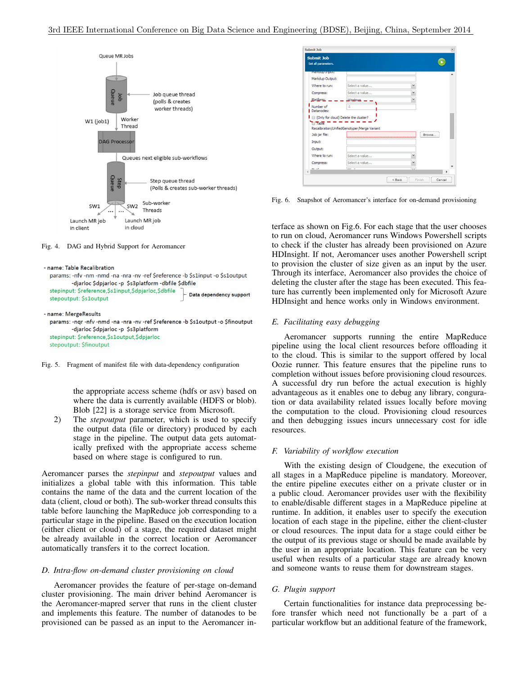

Fig. 4. DAG and Hybrid Support for Aeromancer

```
- name: Table Recalibration
 params: -nfv -nm -nmd -na -nra -nv -ref Sreference -h Ss1innut -o Ss1output
          -djarloc $dpjarloc -p $s3platform -dbfile $dbfile
 stepinput: $reference,$s1input,$dpjarloc,$dbfile
                                                      Data dependency support
 stepoutput: $s1output
- name: MergeResults
```

```
params: -nqr -nfv -nmd -na -nra -nv -ref $reference -b $s1output -o $finoutput
        -djarloc $dpjarloc -p $s3platform
stepinput: $reference,$s1output,$dpjarloc
stepoutput: $finoutput
```
Fig. 5. Fragment of manifest file with data-dependency configuration

the appropriate access scheme (hdfs or asv) based on where the data is currently available (HDFS or blob). Blob [22] is a storage service from Microsoft.

2) The *stepoutput* parameter, which is used to specify the output data (file or directory) produced by each stage in the pipeline. The output data gets automatically prefixed with the appropriate access scheme based on where stage is configured to run.

Aeromancer parses the *stepinput* and *stepoutput* values and initializes a global table with this information. This table contains the name of the data and the current location of the data (client, cloud or both). The sub-worker thread consults this table before launching the MapReduce job corresponding to a particular stage in the pipeline. Based on the execution location (either client or cloud) of a stage, the required dataset might be already available in the correct location or Aeromancer automatically transfers it to the correct location.

## *D. Intra-flow on-demand cluster provisioning on cloud*

Aeromancer provides the feature of per-stage on-demand cluster provisioning. The main driver behind Aeromancer is the Aeromancer-mapred server that runs in the client cluster and implements this feature. The number of datanodes to be provisioned can be passed as an input to the Aeromancer in-

| <b>Submit Job</b><br>Set all parameters. |                                                  |              | $\blacktriangleright$ |
|------------------------------------------|--------------------------------------------------|--------------|-----------------------|
| <b>MGIFKUUP HIPUU:</b>                   |                                                  |              |                       |
| Markdup Output:                          |                                                  |              |                       |
| Where to run:                            | Select a value                                   | $\checkmark$ |                       |
| Compress:                                | Select a value                                   | $\checkmark$ |                       |
|                                          | <b>Windows</b>                                   | $\checkmark$ |                       |
| Platform:                                |                                                  |              |                       |
| Number of<br>Datanodes:                  | $\Delta$<br>(Only for cloud) Delete the cluster? |              |                       |
| Table <sup>T</sup><br>Job jar file:      | Recalibration/UnifiedGenotyper/Merge Variant     |              | Browse                |
| Input:                                   |                                                  |              |                       |
| Output:                                  |                                                  |              |                       |
| Where to run:                            | Select a value                                   | $\check{}$   |                       |
| Compress:                                | Select a value                                   | $\checkmark$ |                       |

Fig. 6. Snapshot of Aeromancer's interface for on-demand provisioning

terface as shown on Fig.6. For each stage that the user chooses to run on cloud, Aeromancer runs Windows Powershell scripts to check if the cluster has already been provisioned on Azure HDInsight. If not, Aeromancer uses another Powershell script to provision the cluster of size given as an input by the user. Through its interface, Aeromancer also provides the choice of deleting the cluster after the stage has been executed. This feature has currently been implemented only for Microsoft Azure HDInsight and hence works only in Windows environment.

## *E. Facilitating easy debugging*

Aeromancer supports running the entire MapReduce pipeline using the local client resources before offloading it to the cloud. This is similar to the support offered by local Oozie runner. This feature ensures that the pipeline runs to completion without issues before provisioning cloud resources. A successful dry run before the actual execution is highly advantageous as it enables one to debug any library, conguration or data availability related issues locally before moving the computation to the cloud. Provisioning cloud resources and then debugging issues incurs unnecessary cost for idle resources.

#### *F. Variability of workflow execution*

With the existing design of Cloudgene, the execution of all stages in a MapReduce pipeline is mandatory. Moreover, the entire pipeline executes either on a private cluster or in a public cloud. Aeromancer provides user with the flexibility to enable/disable different stages in a MapReduce pipeline at runtime. In addition, it enables user to specify the execution location of each stage in the pipeline, either the client-cluster or cloud resources. The input data for a stage could either be the output of its previous stage or should be made available by the user in an appropriate location. This feature can be very useful when results of a particular stage are already known and someone wants to reuse them for downstream stages.

## *G. Plugin support*

Certain functionalities for instance data preprocessing before transfer which need not functionally be a part of a particular workflow but an additional feature of the framework,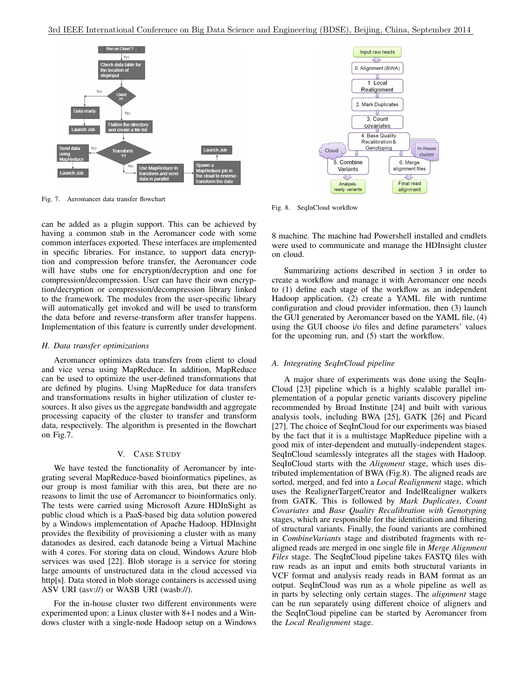

Fig. 7. Aeromancer data transfer flowchart

can be added as a plugin support. This can be achieved by having a common stub in the Aeromancer code with some common interfaces exported. These interfaces are implemented in specific libraries. For instance, to support data encryption and compression before transfer, the Aeromancer code will have stubs one for encryption/decryption and one for compression/decompression. User can have their own encryption/decryption or compression/decompression library linked to the framework. The modules from the user-specific library will automatically get invoked and will be used to transform the data before and reverse-transform after transfer happens. Implementation of this feature is currently under development.

## *H. Data transfer optimizations*

Aeromancer optimizes data transfers from client to cloud and vice versa using MapReduce. In addition, MapReduce can be used to optimize the user-defined transformations that are defined by plugins. Using MapReduce for data transfers and transformations results in higher utilization of cluster resources. It also gives us the aggregate bandwidth and aggregate processing capacity of the cluster to transfer and transform data, respectively. The algorithm is presented in the flowchart on Fig.7.

## V. CASE STUDY

We have tested the functionality of Aeromancer by integrating several MapReduce-based bioinformatics pipelines, as our group is most familiar with this area, but there are no reasons to limit the use of Aeromancer to bioinformatics only. The tests were carried using Microsoft Azure HDInSight as public cloud which is a PaaS-based big data solution powered by a Windows implementation of Apache Hadoop. HDInsight provides the flexibility of provisioning a cluster with as many datanodes as desired, each datanode being a Virtual Machine with 4 cores. For storing data on cloud, Windows Azure blob services was used [22]. Blob storage is a service for storing large amounts of unstructured data in the cloud accessed via http[s]. Data stored in blob storage containers is accessed using ASV URI (asv://) or WASB URI (wasb://).

For the in-house cluster two different environments were experimented upon: a Linux cluster with 8+1 nodes and a Windows cluster with a single-node Hadoop setup on a Windows



Fig. 8. SeqInCloud workflow

8 machine. The machine had Powershell installed and cmdlets were used to communicate and manage the HDInsight cluster on cloud.

Summarizing actions described in section 3 in order to create a workflow and manage it with Aeromancer one needs to (1) define each stage of the workflow as an independent Hadoop application, (2) create a YAML file with runtime configuration and cloud provider information, then (3) launch the GUI generated by Aeromancer based on the YAML file, (4) using the GUI choose i/o files and define parameters' values for the upcoming run, and (5) start the workflow.

# *A. Integrating SeqInCloud pipeline*

A major share of experiments was done using the SeqIn-Cloud [23] pipeline which is a highly scalable parallel implementation of a popular genetic variants discovery pipeline recommended by Broad Institute [24] and built with various analysis tools, including BWA [25], GATK [26] and Picard [27]. The choice of SeqInCloud for our experiments was biased by the fact that it is a multistage MapReduce pipeline with a good mix of inter-dependent and mutually-independent stages. SeqInCloud seamlessly integrates all the stages with Hadoop. SeqInCloud starts with the *Alignment* stage, which uses distributed implementation of BWA (Fig.8). The aligned reads are sorted, merged, and fed into a *Local Realignment* stage, which uses the RealignerTargetCreator and IndelRealigner walkers from GATK. This is followed by *Mark Duplicates*, *Count Covariates* and *Base Quality Recalibration with Genotyping* stages, which are responsible for the identification and filtering of structural variants. Finally, the found variants are combined in *CombineVariants* stage and distributed fragments with realigned reads are merged in one single file in *Merge Alignment Files* stage. The SeqInCloud pipeline takes FASTQ files with raw reads as an input and emits both structural variants in VCF format and analysis ready reads in BAM format as an output. SeqInCloud was run as a whole pipeline as well as in parts by selecting only certain stages. The *alignment* stage can be run separately using different choice of aligners and the SeqInCloud pipeline can be started by Aeromancer from the *Local Realignment* stage.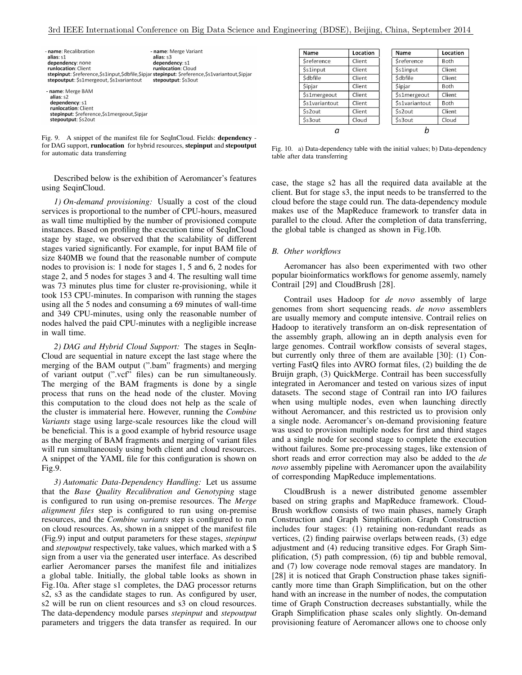| - name: Recalibration<br>alias: s1<br>dependency: none<br>runlocation: Client<br>stepinput: \$reference,\$s1input,\$dbfile,\$ipjar stepinput: \$reference,\$s1variantout,\$ipjar<br>stepoutput: \$s1mergeout, \$s1variantout | - name: Merge Variant<br>alias: s3<br>dependency: s1<br>runlocation: Cloud<br>stepoutput: \$s3out |
|------------------------------------------------------------------------------------------------------------------------------------------------------------------------------------------------------------------------------|---------------------------------------------------------------------------------------------------|
| - name: Merge BAM<br>alias: s2<br>dependency: s1<br>runlocation: Client<br>stepinput: \$reference,\$s1mergeout,\$ipjar<br>stepoutput: \$s2out                                                                                |                                                                                                   |

Fig. 9. A snippet of the manifest file for SeqInCloud. Fields: dependency for DAG support, runlocation for hybrid resources, stepinput and stepoutput for automatic data transferring

Described below is the exhibition of Aeromancer's features using SeqinCloud.

*1) On-demand provisioning:* Usually a cost of the cloud services is proportional to the number of CPU-hours, measured as wall time multiplied by the number of provisioned compute instances. Based on profiling the execution time of SeqInCloud stage by stage, we observed that the scalability of different stages varied significantly. For example, for input BAM file of size 840MB we found that the reasonable number of compute nodes to provision is: 1 node for stages 1, 5 and 6, 2 nodes for stage 2, and 5 nodes for stages 3 and 4. The resulting wall time was 73 minutes plus time for cluster re-provisioning, while it took 153 CPU-minutes. In comparison with running the stages using all the 5 nodes and consuming a 69 minutes of wall-time and 349 CPU-minutes, using only the reasonable number of nodes halved the paid CPU-minutes with a negligible increase in wall time.

*2) DAG and Hybrid Cloud Support:* The stages in SeqIn-Cloud are sequential in nature except the last stage where the merging of the BAM output (".bam" fragments) and merging of variant output (".vcf" files) can be run simultaneously. The merging of the BAM fragments is done by a single process that runs on the head node of the cluster. Moving this computation to the cloud does not help as the scale of the cluster is immaterial here. However, running the *Combine Variants* stage using large-scale resources like the cloud will be beneficial. This is a good example of hybrid resource usage as the merging of BAM fragments and merging of variant files will run simultaneously using both client and cloud resources. A snippet of the YAML file for this configuration is shown on Fig.9.

*3) Automatic Data-Dependency Handling:* Let us assume that the *Base Quality Recalibration and Genotyping* stage is configured to run using on-premise resources. The *Merge alignment files* step is configured to run using on-premise resources, and the *Combine variants* step is configured to run on cloud resources. As, shown in a snippet of the manifest file (Fig.9) input and output parameters for these stages, *stepinput* and *stepoutput* respectively, take values, which marked with a \$ sign from a user via the generated user interface. As described earlier Aeromancer parses the manifest file and initializes a global table. Initially, the global table looks as shown in Fig.10a. After stage s1 completes, the DAG processor returns s2, s3 as the candidate stages to run. As configured by user, s2 will be run on client resources and s3 on cloud resources. The data-dependency module parses *stepinput* and *stepoutput* parameters and triggers the data transfer as required. In our

| Name            | Location | Name                 | Location |
|-----------------|----------|----------------------|----------|
| Sreference      | Client   | Sreference           | Both     |
| \$s1input       | Client   | \$s1input            | Client   |
| <b>\$dbfile</b> | Client   | <b>Sdbfile</b>       | Client   |
| Sipjar          | Client   | <b>Sipjar</b>        | Both     |
| \$s1mergeout    | Client   | \$s1mergeout         | Client   |
| Ss1variantout   | Client   | <b>Ss1variantout</b> | Both     |
| \$s2out         | Client   | \$s2out              | Client   |
| \$s3out         | Cloud    | \$s3out              | Cloud    |
|                 |          |                      |          |

Fig. 10. a) Data-dependency table with the initial values; b) Data-dependency table after data transferring

case, the stage s2 has all the required data available at the client. But for stage s3, the input needs to be transferred to the cloud before the stage could run. The data-dependency module makes use of the MapReduce framework to transfer data in parallel to the cloud. After the completion of data transferring, the global table is changed as shown in Fig.10b.

### *B. Other workflows*

Aeromancer has also been experimented with two other popular bioinformatics workflows for genome assemly, namely Contrail [29] and CloudBrush [28].

Contrail uses Hadoop for *de novo* assembly of large genomes from short sequencing reads. *de novo* assemblers are usually memory and compute intensive. Contrail relies on Hadoop to iteratively transform an on-disk representation of the assembly graph, allowing an in depth analysis even for large genomes. Contrail workflow consists of several stages, but currently only three of them are available [30]: (1) Converting FastQ files into AVRO format files, (2) building the de Bruijn graph, (3) QuickMerge. Contrail has been successfully integrated in Aeromancer and tested on various sizes of input datasets. The second stage of Contrail ran into I/O failures when using multiple nodes, even when launching directly without Aeromancer, and this restricted us to provision only a single node. Aeromancer's on-demand provisioning feature was used to provision multiple nodes for first and third stages and a single node for second stage to complete the execution without failures. Some pre-processing stages, like extension of short reads and error correction may also be added to the *de novo* assembly pipeline with Aeromancer upon the availability of corresponding MapReduce implementations.

CloudBrush is a newer distributed genome assembler based on string graphs and MapReduce framework. Cloud-Brush workflow consists of two main phases, namely Graph Construction and Graph Simplification. Graph Construction includes four stages: (1) retaining non-redundant reads as vertices, (2) finding pairwise overlaps between reads, (3) edge adjustment and (4) reducing transitive edges. For Graph Simplification, (5) path compression, (6) tip and bubble removal, and (7) low coverage node removal stages are mandatory. In [28] it is noticed that Graph Construction phase takes significantly more time than Graph Simplification, but on the other hand with an increase in the number of nodes, the computation time of Graph Construction decreases substantially, while the Graph Simplification phase scales only slightly. On-demand provisioning feature of Aeromancer allows one to choose only